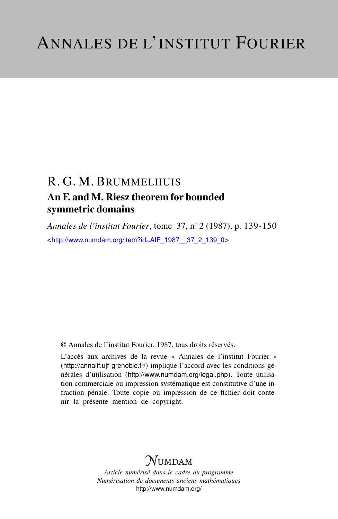## R. G. M. BRUMMELHUIS An F. and M. Riesz theorem for bounded symmetric domains

*Annales de l'institut Fourier*, tome 37, n<sup>o</sup> 2 (1987), p. 139-150 <[http://www.numdam.org/item?id=AIF\\_1987\\_\\_37\\_2\\_139\\_0](http://www.numdam.org/item?id=AIF_1987__37_2_139_0)>

© Annales de l'institut Fourier, 1987, tous droits réservés.

L'accès aux archives de la revue « Annales de l'institut Fourier » (<http://annalif.ujf-grenoble.fr/>) implique l'accord avec les conditions générales d'utilisation (<http://www.numdam.org/legal.php>). Toute utilisation commerciale ou impression systématique est constitutive d'une infraction pénale. Toute copie ou impression de ce fichier doit contenir la présente mention de copyright.

# NUMDAM

*Article numérisé dans le cadre du programme Numérisation de documents anciens mathématiques* <http://www.numdam.org/>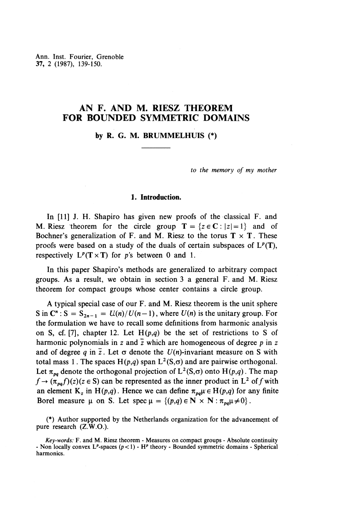Ann. Inst. Fourier, Grenoble 37, 2 (1987), 139-150.

## **AN F. AND M. RIESZ THEOREM FOR BOUNDED SYMMETRIC DOMAINS**

**by R. G. M. BRUMMELHUIS (\*)**

*to the memory of my mother*

## **1. Introduction.**

In [11] J. H. Shapiro has given new proofs of the classical F. and M. Riesz theorem for the circle group  $T = \{z \in \mathbb{C} : |z|=1 \}$  and of Bochner's generalization of F. and M. Riesz to the torus  $T \times T$ . These proofs were based on a study of the duals of certain subspaces of  $L^p(T)$ , respectively  $L^p(T \times T)$  for *p*'s between 0 and 1.

In this paper Shapiro's methods are generalized to arbitrary compact groups. As a result, we obtain in section 3 a general F. and M. Riesz theorem for compact groups whose center contains a circle group.

A typical special case of our F. and M. Riesz theorem is the unit sphere S in  $\mathbb{C}^n$  : S =  $S_{2n-1} = U(n)/U(n-1)$ , where  $U(n)$  is the unitary group. For the formulation we have to recall some definitions from harmonic analysis on S, cf. [7], chapter 12. Let  $H(p,q)$  be the set of restrictions to S of harmonic polynomials in z and  $\overline{z}$  which are homogeneous of degree p in z and of degree q in  $\overline{z}$ . Let  $\sigma$  denote the  $U(n)$ -invariant measure on S with total mass 1. The spaces  $H(p,q)$  span  $L^2(S,\sigma)$  and are pairwise orthogonal. Let  $\pi_{pq}$  denote the orthogonal projection of  $L^2(S,\sigma)$  onto  $H(p,q)$ . The map Let  $\pi_{pq}$  denote the orthogonal projection of  $L^2(S, \sigma)$  onto  $H(p,q)$ . The map  $f \rightarrow (\pi_{pq}f)(z)(z \in S)$  can be represented as the inner product in  $L^2$  of f with an element  $K_z$  in  $H(p,q)$ . Hence we can define  $\pi_{pa}\mu \in H(p,q)$  for any finite Borel measure  $\mu$  on S. Let spec  $\mu = \{(p,q) \in \mathbb{N} \times \mathbb{N} : \pi_{p,q}\mu \neq 0\}$ .

 $(*)$  Author supported by the Netherlands organization for the advancement of pure research (Z.W.O.).

*Key-words:* F. and M. Riesz theorem - Measures on compact groups - Absolute continuity - Non locally convex L<sup>p</sup>-spaces (p<1) - H<sup>p</sup> theory - Bounded symmetric domains - Spherical harmonics.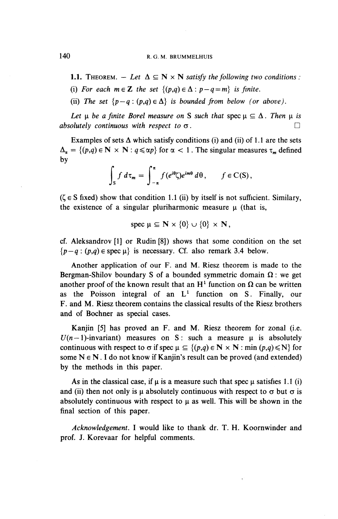140 R. G. M. BRUMMELHUIS

- **1.1.** THEOREM.  $-$  Let  $\Delta \subseteq \mathbb{N} \times \mathbb{N}$  satisfy the following two conditions :
- (i) For each  $m \in \mathbb{Z}$  the set  $\{(p,q) \in \Delta : p-q=m\}$  is finite.
- (ii) The set  $\{p-q : (p,q) \in \Delta\}$  is bounded from below (or above).

*Let u be a finite Borel measure on* S *such that* spec  $\mu \subseteq \Delta$ . Then  $\mu$  is *absolutely continuous with respect to*  $\sigma$ .

Examples of sets  $\Delta$  which satisfy conditions (i) and (ii) of 1.1 are the sets  $\Delta_{\alpha} = \{(p,q) \in \mathbb{N} \times \mathbb{N} : q \leq \alpha p\}$  for  $\alpha < 1$ . The singular measures  $\tau_m$  defined by

$$
\int_{S} f d\tau_{m} = \int_{-\pi}^{\pi} f(e^{i\theta} \zeta) e^{im\theta} d\theta, \qquad f \in C(S),
$$

 $(\zeta \in S$  fixed) show that condition 1.1 (ii) by itself is not sufficient. Similary, the existence of a singular pluriharmonic measure  $\mu$  (that is,

$$
spec \mu \subseteq \mathbf{N} \times \{0\} \cup \{0\} \times \mathbf{N},
$$

cf. Aleksandrov [1] or Rudin [8]) shows that some condition on the set  ${p-q : (p,q) \in \text{spec }\mu}$  is necessary. Cf. also remark 3.4 below.

Another application of our F. and M. Riesz theorem is made to the Bergman-Shilov boundary S of a bounded symmetric domain  $\Omega$ : we get Bergman-Shinov boundary S or a bounded symmetric domain  $\Omega$ : we get<br>another proof of the known result that an  $H^1$  function on  $\Omega$  can be written as the Poisson integral of an  $L<sup>1</sup>$  function on S. Finally, our F. and M. Riesz theorem contains the classical results of the Riesz brothers and of Bochner as special cases.

Kanjin [5] has proved an F. and M. Riesz theorem for zonal (i.e.  $U(n-1)$ -invariant) measures on S: such a measure  $\mu$  is absolutely continuous with respect to  $\sigma$  if spec  $\mu \subseteq \{(p,q) \in N \times N : \min(p,q) \le N\}$  for some  $N \in N$ . I do not know if Kanjin's result can be proved (and extended) by the methods in this paper.

As in the classical case, if  $\mu$  is a measure such that spec  $\mu$  satisfies 1.1 (i) and (ii) then not only is  $\mu$  absolutely continuous with respect to  $\sigma$  but  $\sigma$  is absolutely continuous with respect to  $\mu$  as well. This will be shown in the final section of this paper.

*Acknowledgement.* I would like to thank dr. T. H. Koornwinder and prof. J. Korevaar for helpful comments.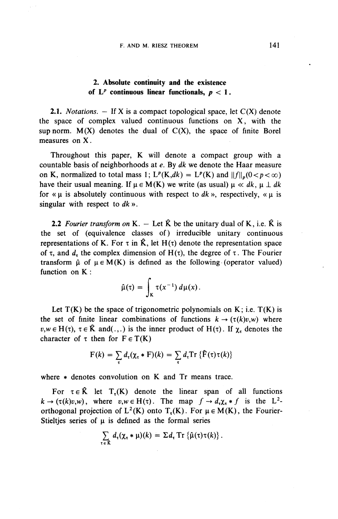## **2. Absolute continuity and the existence** of  $L^p$  continuous linear functionals,  $p < 1$ .

**2.1.** *Notations. —* If X is a compact topological space, let C(X) denote the space of complex valued continuous functions on X, with the sup norm.  $M(X)$  denotes the dual of  $C(X)$ , the space of finite Borel measures on X.

Throughout this paper, K will denote a compact group with a countable basis of neighborhoods at *e.* By *dk* we denote the Haar measure on K, normalized to total mass 1;  $L^p(K,dk) = L^p(K)$  and  $||f||_p(0 < p < \infty)$ have their usual meaning. If  $\mu \in M(K)$  we write (as usual)  $\mu \ll dk$ ,  $\mu \perp dk$ for «  $\mu$  is absolutely continuous with respect to dk », respectively, «  $\mu$  is singular with respect to dk ».

**2.2** Fourier transform on K.  $-$  Let  $\hat{K}$  be the unitary dual of K, i.e.  $\hat{K}$  is the set of (equivalence classes of) irreducible unitary continuous representations of K. For  $\tau$  in  $\hat{K}$ , let  $H(\tau)$  denote the representation space of  $\tau$ , and  $d_{\tau}$  the complex dimension of H( $\tau$ ), the degree of  $\tau$ . The Fourier transform  $\hat{\mu}$  of  $\mu \in M(K)$  is defined as the following (operator valued) function on K:

$$
\hat{\mu}(\tau) = \int_{K} \tau(x^{-1}) d\mu(x).
$$

Let  $T(K)$  be the space of trigonometric polynomials on K; i.e.  $T(K)$  is the set of finite linear combinations of functions  $k \to (\tau(k)v,w)$  where  $v,w \in H(\tau)$ ,  $\tau \in \hat{K}$  and(.,.) is the inner product of  $H(\tau)$ . If  $\chi_{\tau}$  denotes the character of  $\tau$  then for  $F \in T(K)$ 

$$
F(k) = \sum_{\tau} d_{\tau}(\chi_{\tau} * F)(k) = \sum_{\tau} d_{\tau} \text{Tr} \left\{ \hat{F}(\tau) \tau(k) \right\}
$$

where  $*$  denotes convolution on K and Tr means trace.

For  $\tau \in \hat{K}$  let  $T_r(K)$  denote the linear span of all functions  $k \to (\tau(k)v,w)$ , where  $v,w \in H(\tau)$ . The map  $f \to d_{\tau}\chi_{\tau} * f$  is the L<sup>2</sup>orthogonal projection of  $L^2(K)$  onto  $T_r(K)$ . For  $\mu \in M(K)$ , the Fourier-Stieltjes series of  $\mu$  is defined as the formal series

$$
\sum_{\tau \in \hat{K}} d_{\tau}(\chi_{\tau} * \mu)(k) = \Sigma d_{\tau} \operatorname{Tr} \left\{ \hat{\mu}(\tau) \tau(k) \right\}.
$$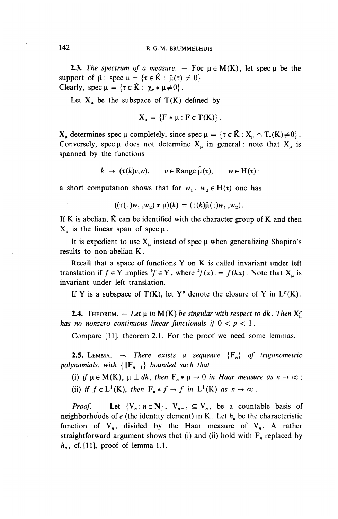**2.3.** The spectrum of a measure.  $-$  For  $\mu \in M(K)$ , let spec  $\mu$  be the support of  $\hat{\mu}$ : spec  $\mu = {\tau \in \hat{K} : \hat{\mu}(\tau) \neq 0}.$ Clearly, spec  $\mu = {\tau \in \hat{K} : \chi_{\tau} * \mu \neq 0}.$ 

Let  $X_u$  be the subspace of T(K) defined by

$$
X_{\mu} = \{F * \mu : F \in T(K)\}.
$$

 $X_u$  determines spec  $\mu$  completely, since spec  $\mu = {\tau \in \hat{K} : X_u \cap T_{\tau}(K) \neq 0}$ . Conversely, spec  $\mu$  does not determine  $X_u$  in general: note that  $X_u$  is spanned by the functions

$$
k \to (\tau(k)v,w), \quad v \in \text{Range } \hat{\mu}(\tau), \quad w \in H(\tau):
$$

a short computation shows that for  $w_1$ ,  $w_2 \in H(\tau)$  one has

$$
((\tau(.)w_1,w_2)*\mu)(k) = (\tau(k)\hat{\mu}(\tau)w_1,w_2).
$$

If K is abelian,  $\hat{K}$  can be identified with the character group of K and then  $X_u$  is the linear span of spec  $\mu$ .

It is expedient to use  $X_u$  instead of spec  $\mu$  when generalizing Shapiro's results to non-abelian K.

Recall that a space of functions Y on K is called invariant under left translation if  $f \in Y$  implies  $^k f \in Y$ , where  $^k f(x) := f(kx)$ . Note that  $X_u$  is invariant under left translation.

If Y is a subspace of  $T(K)$ , let  $Y^p$  denote the closure of Y in  $L^p(K)$ .

**2.4.** THEOREM.  $-$  Let  $\mu$  in M(K) be singular with respect to dk. Then  $X_{\mu}^{p}$ *has no nonzero continuous linear functionals if*  $0 < p < 1$ .

Compare [II], theorem 2.1. For the proof we need some lemmas.

**2.5.** LEMMA. — *There exists a sequence*  ${F_n}$  *of trigonometric polynomials, with*  $\{||F_n||_1\}$  *bounded such that* 

(i) if  $\mu \in M(K)$ ,  $\mu \perp dk$ , then  $F_n * \mu \to 0$  in Haar measure as  $n \to \infty$ ; (ii) if  $f \in L^1(K)$ , then  $F_n * f \to f$  in  $L^1(K)$  as  $n \to \infty$ .

*Proof.* - Let  $\{V_n : n \in \mathbb{N}\}\$ ,  $V_{n+1} \subseteq V_n$ , be a countable basis of neighborhoods of *e* (the identity element) in K. Let *h^* be the characteristic function of  $V_n$ , divided by the Haar measure of  $V_n$ . A rather straightforward argument shows that (i) and (ii) hold with  $F_n$  replaced by  $h_n$ , cf. [11], proof of lemma 1.1.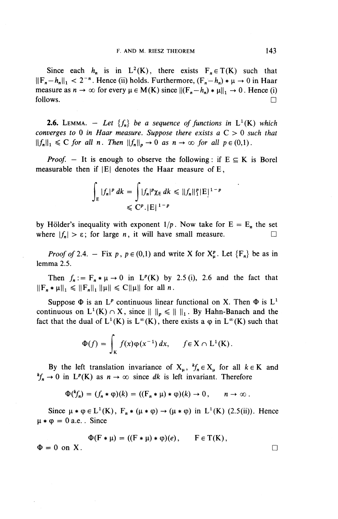Since each  $h_n$  is in  $L^2(K)$ , there exists  $F_n \in T(K)$  such that  $||F_n-h_n||_1 < 2^{-n}$ . Hence (ii) holds. Furthermore,  $(F_n-h_n) * \mu \to 0$  in Haar measure as  $n \to \infty$  for every  $\mu \in M(K)$  since  $||(F_n-h_n) * \mu||_1 \to 0$ . Hence (i) follows.

**2.6.** LEMMA. - Let  $\{f_n\}$  be a sequence of functions in  $L^1(K)$  which *converges to 0 in Haar measure. Suppose there exists a C >* 0 *such that*  $||f_n||_1 \leq C$  for all n. Then  $||f_n||_p \to 0$  as  $n \to \infty$  for all  $p \in (0,1)$ .

*Proof.* - It is enough to observe the following: if  $E \subseteq K$  is Borel measurable then if  $|E|$  denotes the Haar measure of E,

$$
\int_{E} |f_n|^p dk = \int |f_n|^p \chi_E dk \leq ||f_n||_1^p |E|^{1-p}
$$
  

$$
\leq C^p |E|^{1-p}
$$

by Hölder's inequality with exponent  $1/p$ . Now take for  $E = E_n$  the set where  $|f_n| > \varepsilon$ ; for large *n*, it will have small measure.

*Proof* of 2.4. - Fix p,  $p \in (0,1)$  and write X for  $X^p_\mu$ . Let  ${F_n}$  be as in lemma 2.5.

Then  $f_n := F_n * \mu \to 0$  in  $L^p(K)$  by 2.5 (i), 2.6 and the fact that  $||F_n * \mu||_1 \leq ||F_n||_1 ||\mu|| \leq C||\mu||$  for all n.

Suppose  $\Phi$  is an L<sup>*p*</sup> continuous linear functional on X. Then  $\Phi$  is L<sup>1</sup> continuous on  $L^1(K) \cap X$ , since  $|| |_{p} \le || |_{1}$ . By Hahn-Banach and the fact that the dual of  $L^1(K)$  is  $L^{\infty}(K)$ , there exists a  $\varphi$  in  $L^{\infty}(K)$  such that

$$
\Phi(f) = \int_{\mathsf{K}} f(x) \varphi(x^{-1}) dx, \quad f \in \mathsf{X} \cap \mathsf{L}^1(\mathsf{K}).
$$

By the left translation invariance of  $X_n$ ,  $^k f_n \in X_n$  for all  $k \in K$  and  ${}^k f_n \to 0$  in  $L^p(K)$  as  $n \to \infty$  since dk is left invariant. Therefore

$$
\Phi(^k f_n) = (f_n * \varphi)(k) = ((F_n * \mu) * \varphi)(k) \to 0, \quad n \to \infty.
$$

Since  $\mu * \varphi \in L^1(K)$ ,  $F_n * (\mu * \varphi) \to (\mu * \varphi)$  in  $L^1(K)$  (2.5(ii)). Hence  $\mu * \varphi = 0$  a.e.. Since

$$
\Phi(\mathbf{F} * \mu) = ((\mathbf{F} * \mu) * \varphi)(e), \quad \mathbf{F} \in \mathcal{T}(\mathbf{K}),
$$
  
 
$$
\Phi = 0 \text{ on } \mathbf{X}.
$$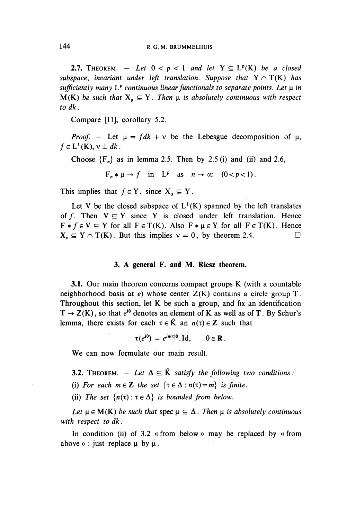**2.7.** THEOREM.  $-$  Let  $0 < p < 1$  and let  $Y \subseteq L^p(K)$  be a closed *subspace, invariant under left translation. Suppose that*  $Y \cap T(K)$  has *sufficiently many*  $L^p$  continuous linear functionals to separate points. Let  $\mu$  in  $M(K)$  be such that  $X_n \subseteq Y$ . Then  $\mu$  is absolutely continuous with respect *to dk.*

Compare [II], corollary 5.2.

*Proof.* – Let  $\mu = fdk + v$  be the Lebesgue decomposition of  $\mu$ ,  $f \in L^1(K)$ ,  $v \perp dk$ .

Choose  ${F_n}$  as in lemma 2.5. Then by 2.5 (i) and (ii) and 2.6,

 $F_n * \mu \to f$  in  $L^p$  as  $n \to \infty$   $(0 < p < 1)$ .

This implies that  $f \in Y$ , since  $X_u \subseteq Y$ .

Let V be the closed subspace of  $L^1(K)$  spanned by the left translates of f. Then  $V \subseteq Y$  since Y is closed under left translation. Hence  $F * f \in V \subseteq Y$  for all  $F \in T(K)$ . Also  $F * \mu \in Y$  for all  $F \in T(K)$ . Hence  $X_v \subseteq Y \cap T(K)$ . But this implies  $v = 0$ , by theorem 2.4.

## **3. A general F. and M. Riesz theorem.**

**3.1.** Our main theorem concerns compact groups K (with a countable neighborhood basis at *e)* whose center Z(K) contains a circle group T. Throughout this section, let  $K$  be such a group, and fix an identification  $T \rightarrow Z(K)$ , so that  $e^{i\theta}$  denotes an element of K as well as of T. By Schur's lemma, there exists for each  $\tau \in \hat{K}$  an  $n(\tau) \in \mathbb{Z}$  such that

$$
\tau(e^{i\theta}) = e^{in(\tau)\theta}.\text{Id}, \qquad \theta \in \mathbf{R}.
$$

**We** can now formulate our main result.

**3.2.** THEOREM.  $-$  Let  $\Delta \subseteq \hat{K}$  satisfy the following two conditions :

(i) For each  $m \in \mathbb{Z}$  the set  $\{\tau \in \Delta : n(\tau) = m\}$  is finite.

(ii) The set  $\{n(\tau): \tau \in \Delta\}$  is bounded from below.

*Let*  $\mu \in M(K)$  *be such that* spec  $\mu \subseteq \Delta$ . Then  $\mu$  *is absolutely continuous with respect to dk.*

In condition (ii) of 3.2 «from below » may be replaced by «from above » : just replace  $\mu$  by  $\overline{\mu}$ .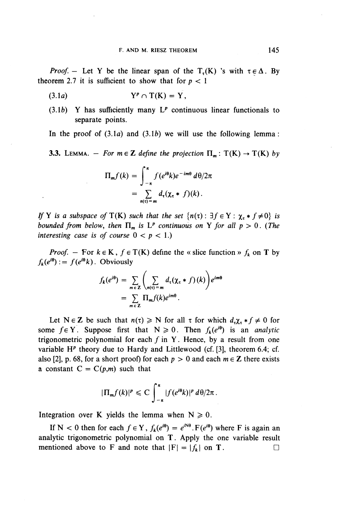*Proof.* - Let Y be the linear span of the T<sub>r</sub>(K) 's with  $\tau \in \Delta$ . By theorem 2.7 it is sufficient to show that for  $p < 1$ 

$$
(3.1a) \t Yp \cap T(K) = Y,
$$

 $(3.1b)$  Y has sufficiently many  $L^p$  continuous linear functionals to separate points.

In the proof of  $(3.1a)$  and  $(3.1b)$  we will use the following lemma:

**3.3.** LEMMA. – *For*  $m \in \mathbb{Z}$  define the projection  $\Pi_m: T(K) \to T(K)$  by

$$
\Pi_m f(k) = \int_{-\pi}^{\pi} f(e^{i\theta}k)e^{-im\theta} d\theta/2\pi
$$

$$
= \sum_{n(\tau)=m} d_{\tau}(\chi_{\tau} * f)(k).
$$

*If* Y is a subspace of  $T(K)$  such that the set  $\{n(\tau): \exists f \in Y : \chi_{\tau} * f \neq 0\}$  is *bounded from below, then*  $\Pi_m$  *is*  $L^p$  *continuous on* Y *for all p >* 0. (The *interesting case is of course*  $0 < p < 1$ .)

*Proof.* - For  $k \in K$ ,  $f \in T(K)$  define the « slice function »  $f_k$  on T by  $f_k(e^{i\theta}) := f(e^{i\theta}k)$ . Obviously

$$
f_k(e^{i\theta}) = \sum_{m \in \mathbb{Z}} \left( \sum_{n(\tau) = m} d_{\tau}(\chi_{\tau} * f)(k) \right) e^{im\theta}
$$
  
= 
$$
\sum_{m \in \mathbb{Z}} \Pi_m f(k) e^{im\theta}.
$$

Let  $N \in \mathbb{Z}$  be such that  $n(\tau) \geq N$  for all  $\tau$  for which  $d_{\tau} \chi_{\tau} * f \neq 0$  for some  $f \in Y$ . Suppose first that  $N \ge 0$ . Then  $f_k(e^{i\theta})$  is an *analytic* trigonometric polynomial for each  $f$  in Y. Hence, by a result from one variable  $H^p$  theory due to Hardy and Littlewood (cf. [3], theorem 6.4; cf. also [2], p. 68, for a short proof) for each  $p > 0$  and each  $m \in \mathbb{Z}$  there exists a constant  $C = C(p,m)$  such that

$$
|\Pi_m f(k)|^p \leq C \int_{-\pi}^{\pi} |f(e^{i\theta}k)|^p d\theta/2\pi.
$$

Integration over K yields the lemma when  $N \ge 0$ .

If N < 0 then for each  $f \in Y$ ,  $f_k(e^{i\theta}) = e^{iN\theta} \cdot F(e^{i\theta})$  where F is again and If N < 0 then for each  $f \in Y$ ,  $f_k(e^{i\theta}) = e^{iN\theta} \cdot F(e^{i\theta})$  where F is again and analytic trigonometric polynomial on T. Apply the one variable result mentioned above to F and note that  $|F| = |f_k|$  on T.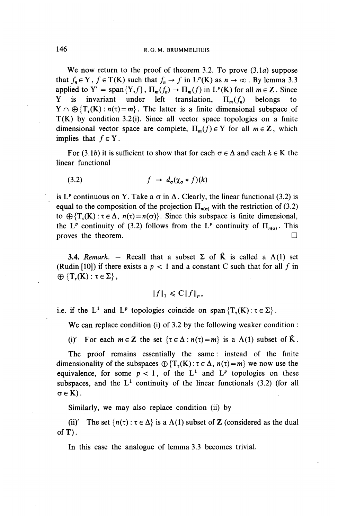We now return to the proof of theorem 3.2. To prove (3.1*a*) suppose that  $f_n \in Y$ ,  $f \in T(K)$  such that  $f_n \to f$  in  $L^p(K)$  as  $n \to \infty$ . By lemma 3.3 applied to  $Y' = \text{span}\{Y,f\}$ ,  $\Pi_m(f_n) \to \Pi_m(f)$  in  $L^p(K)$  for all  $m \in \mathbb{Z}$ . Since Y is invariant under left translation,  $\Pi_{m}(f_n)$  belongs to  $Y \cap \bigoplus \{T_n(K): n(\tau)=m\}$ . The latter is a finite dimensional subspace of  $T(K)$  by condition 3.2(i). Since all vector space topologies on a finite dimensional vector space are complete,  $\Pi_{m}(f) \in Y$  for all  $m \in \mathbb{Z}$ , which implies that  $f \in Y$ .

For (3.1*b*) it is sufficient to show that for each  $\sigma \in \Delta$  and each  $k \in K$  the linear functional

(3.2) 
$$
f \rightarrow d_{\sigma}(\chi_{\sigma} * f)(k)
$$

is L<sup>*p*</sup> continuous on Y. Take a  $\sigma$  in  $\Delta$ . Clearly, the linear functional (3.2) is equal to the composition of the projection  $\Pi_{n(\sigma)}$  with the restriction of (3.2) to  $\bigoplus \{T_{\tau}(K): \tau \in \Delta, n(\tau)=n(\sigma)\}\.$  Since this subspace is finite dimensional, the L<sup>*p*</sup> continuity of (3.2) follows from the L<sup>*p*</sup> continuity of  $\Pi_{n(\alpha)}$ . This proves the theorem.  $\Box$ 

**3.4.** *Remark.* – Recall that a subset  $\Sigma$  of  $\hat{K}$  is called a  $\Lambda(1)$  set (Rudin [10]) if there exists a  $p < 1$  and a constant C such that for all f in  $\oplus \{T_{\tau}(K): \tau \in \Sigma\},\$ 

$$
||f||_1 \leqslant C||f||_p,
$$

i.e. if the L<sup>1</sup> and L<sup>p</sup> topologies coincide on span {T<sub>t</sub>(K):  $\tau \in \Sigma$ }.

We can replace condition (i) of 3.2 by the following weaker condition :

(i)' For each  $m \in \mathbb{Z}$  the set  $\{\tau \in \Delta : n(\tau) = m\}$  is a  $\Lambda(1)$  subset of  $\hat{K}$ .

The proof remains essentially the same: instead of the finite dimensionality of the subspaces  $\bigoplus \{T_r(K): \tau \in \Delta, n(\tau)=m\}$  we now use the equivalence, for some  $p < 1$ , of the  $L^1$  and  $L^p$  topologies on these subspaces, and the  $L^1$  continuity of the linear functionals (3.2) (for all  $\sigma \in K$ ).

Similarly, we may also replace condition (ii) by

(ii)' The set  $\{n(\tau): \tau \in \Delta\}$  is a  $\Lambda(1)$  subset of Z (considered as the dual of  $T$ ).

In this case the analogue of lemma 3.3 becomes trivial.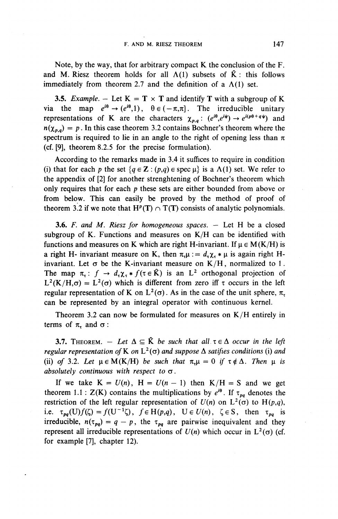Note, by the way, that for arbitrary compact K the conclusion of the F. and M. Riesz theorem holds for all  $\Lambda(1)$  subsets of  $\hat{K}$ : this follows immediately from theorem 2.7 and the definition of a  $\Lambda(1)$  set.

**3.5.** *Example.*  $-$  Let  $K = T \times T$  and identify T with a subgroup of K via the map  $e^{i\theta} \rightarrow (e^{i\theta},1)$ ,  $\theta \in (-\pi,\pi]$ . The irreducible unitary representations of K are the characters  $\chi_{p,q}: (e^{i\theta}, e^{i\psi}) \to e^{i(p\theta+q\psi)}$  and  $n(\chi_{p,q}) = p$ . In this case theorem 3.2 contains Bochner's theorem where the spectrum is required to lie in an angle to the right of opening less than  $\pi$ (cf. [9], theorem 8.2.5 for the precise formulation).

According to the remarks made in 3.4 it suffices to require in condition (i) that for each p the set  $\{q \in \mathbb{Z} : (p,q) \in \text{spec } \mu\}$  is a  $\Lambda(1)$  set. We refer to the appendix of [2] for another strenghtening of Bochner's theorem which only requires that for each *p* these sets are either bounded from above or from below. This can easily be proved by the method of proof of theorem 3.2 if we note that  $H^p(T) \cap T(T)$  consists of analytic polynomials.

**3.6.** *F. and M. Riesz for homogeneous spaces. —* Let H be a closed subgroup of K. Functions and measures on  $K/H$  can be identified with functions and measures on K which are right H-invariant. If  $\mu \in M(K/H)$  is a right H- invariant measure on K, then  $\pi_t \mu := d_t \chi_t * \mu$  is again right Hinvariant. Let  $\sigma$  be the K-invariant measure on K/H, normalized to 1. invariant. Let  $\sigma$  be the K-invariant measure on K/H, normalized to 1<br>The map  $\pi_{\tau}$ :  $f \to d_{\tau} \chi_{\tau} * f(\tau \in \hat{K})$  is an L<sup>2</sup> orthogonal projection of  $L^2(K/H,\sigma) = L^2(\sigma)$  which is different from zero iff  $\tau$  occurs in the left regular representation of K on  $L^2(\sigma)$ . As in the case of the unit sphere,  $\pi$ . can be represented by an integral operator with continuous kernel.

Theorem 3.2 can now be formulated for measures on  $K/H$  entirely in terms of  $\pi$ , and  $\sigma$ :

**3.7.** THEOREM.  $-$  Let  $\Delta \subseteq \hat{K}$  be such that all  $\tau \in \Delta$  occur in the left *regular representation of K on*  $L^2(\sigma)$  *and suppose*  $\Delta$  *satifies conditions* (i) *and* (ii) of 3.2. Let  $\mu \in M(K/H)$  be such that  $\pi_{\tau}\mu = 0$  if  $\tau \notin \Delta$ . Then  $\mu$  is *absolutely continuous with respect to*  $\sigma$ .

If we take  $K = U(n)$ ,  $H = U(n - 1)$  then  $K/H = S$  and we get theorem 1.1 :  $Z(K)$  contains the multiplications by  $e^{i\theta}$ . If  $\tau_{na}$  denotes the restriction of the left regular representation of  $U(n)$  on  $L^2(\sigma)$  to  $H(p,q)$ , restriction of the left regular representation of  $U(n)$  on  $L^2(\sigma)$  to  $H(p,q)$ , i.e.  $\tau_{pq}(U)f(\zeta) = f(U^{-1}\zeta)$ ,  $f \in H(p,q)$ ,  $U \in U(n)$ ,  $\zeta \in S$ , then  $\tau_{pq}$  is irreducible,  $n(\tau_{pq}) = q - p$ , the  $\tau_{pq}$  are pairwise inequivalent and they represent all irreducible representations of  $U(n)$  which occur in  $L^2(\sigma)$  (cf. for example [7], chapter 12).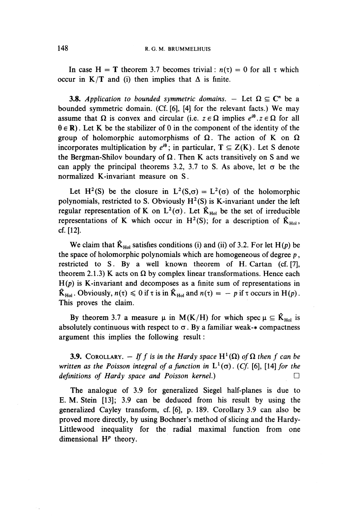In case H = T theorem 3.7 becomes trivial:  $n(\tau) = 0$  for all  $\tau$  which occur in  $K/T$  and (i) then implies that  $\Delta$  is finite.

**3.8.** Application to bounded symmetric domains.  $-$  Let  $\Omega \subseteq \mathbb{C}^n$  be a bounded symmetric domain. (Cf. [6], [4] for the relevant facts.) We may assume that  $\Omega$  is convex and circular (i.e.  $z \in \Omega$  implies  $e^{i\theta}$ ,  $z \in \Omega$  for all  $\theta \in \mathbb{R}$ ). Let K be the stabilizer of 0 in the component of the identity of the group of holomorphic automorphisms of  $\Omega$ . The action of K on  $\Omega$ incorporates multiplication by  $e^{i\theta}$ ; in particular,  $T \subseteq Z(K)$ . Let S denote the Bergman-Shilov boundary of  $\Omega$ . Then K acts transitively on S and we can apply the principal theorems 3.2, 3.7 to S. As above, let  $\sigma$  be the normalized K-invariant measure on S.

Let H<sup>2</sup>(S) be the closure in L<sup>2</sup>(S, $\sigma$ ) = L<sup>2</sup>( $\sigma$ ) of the holomorphic polynomials, restricted to S. Obviously  $H^2(S)$  is K-invariant under the left regular representation of K on  $L^2(\sigma)$ . Let  $\hat{K}_{\text{Hol}}$  be the set of irreducible representations of K which occur in H<sup>2</sup>(S); for a description of  $\hat{K}_{Hol}$ , cf. [12].

We claim that  $\hat{K}_{\text{Hol}}$  satisfies conditions (i) and (ii) of 3.2. For let H(p) be the space of holomorphic polynomials which are homogeneous of degree *p*, restricted to S. By a well known theorem of H. Cartan (cf. [7], theorem 2.1.3) K acts on  $\Omega$  by complex linear transformations. Hence each  $H(p)$  is K-invariant and decomposes as a finite sum of representations in  $\hat{K}_{Hol}$ . Obviously,  $n(\tau) \le 0$  if  $\tau$  is in  $\hat{K}_{Hol}$  and  $n(\tau) = -p$  if  $\tau$  occurs in H(p). This proves the claim.

By theorem 3.7 a measure  $\mu$  in M(K/H) for which spec  $\mu \subseteq \hat{K}_{Hol}$  is absolutely continuous with respect to  $\sigma$ . By a familiar weak- $*$  compactness argument this implies the following result:

**3.9.** COROLLARY.  $-$  If f is in the Hardy space H<sup>1</sup>( $\Omega$ ) of  $\Omega$  then f can be *written as the Poisson integral of a function in*  $L^1(\sigma)$ . (Cf. [6], [14] *for the definitions of Hardy space and Poisson kernel.*)

The analogue of 3.9 for generalized Siegel half-planes is due to E. M. Stein [13]; 3.9 can be deduced from his result by using the generalized Cayley transform, cf. [6], p. 189. Corollary 3.9 can also be proved more directly, by using Bochner's method of slicing and the Hardy-Littlewood inequality for the radial maximal function from one dimensional  $H<sup>p</sup>$  theory.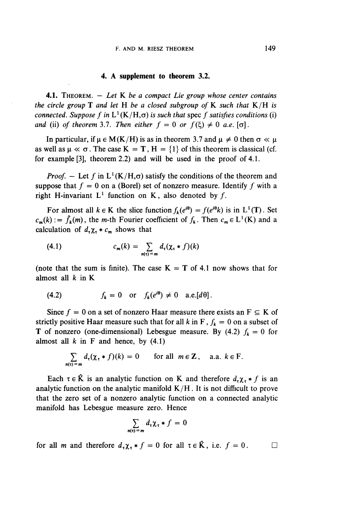#### **4. A supplement to theorem 3.2.**

**4.1.** THEOREM. — *Let* K *be a compact Lie group whose center contains the circle group*  $\bf{T}$  *and let*  $\bf{H}$  *be a closed subgroup of*  $\bf{K}$  *such that*  $\bf{K}/\bf{H}$  *is connected. Suppose*  $f$  *in*  $\bf{L}^1(\bf{K}/\bf{H},\sigma)$  *is such that* spec  $f$  *satisfies conditions* (i) connected. Suppose f in  $L^1(K/H,\sigma)$  is such that spec f satisfies conditions (i) *and* (ii) *of theorem* 3.7. *Then either*  $f = 0$  *or*  $f(\xi) \neq 0$  *a.e.* [ $\sigma$ ].

In particular, if  $\mu \in M(K/H)$  is as in theorem 3.7 and  $\mu \neq 0$  then  $\sigma \ll \mu$ as well as  $\mu \ll \sigma$ . The case  $K = T$ ,  $H = {1}$  of this theorem is classical (cf. for example [3], theorem 2.2) and will be used in the proof of 4.1.

*Proof.* – Let f in  $L^1(K/H,\sigma)$  satisfy the conditions of the theorem and suppose that  $f = 0$  on a (Borel) set of nonzero measure. Identify f with a right H-invariant  $L^1$  function on K, also denoted by f.

For almost all  $k \in K$  the slice function  $f_k(e^{i\theta}) = f(e^{i\theta}k)$  is in L<sup>1</sup>(T). Set  $c_m(k) := \hat{f}_k(m)$ , the *m*-th Fourier coefficient of  $f_k$ . Then  $c_m \in L^1(K)$  and a calculation of  $d_{\tau} \chi_{\tau} * c_{m}$  shows that

$$
(4.1) \t\t\t c_m(k) = \sum_{n(\tau) = m} d_\tau(\chi_\tau * f)(k)
$$

(note that the sum is finite). The case  $K = T$  of 4.1 now shows that for almost all  $k$  in  $K$ 

(4.2) 
$$
f_k = 0
$$
 or  $f_k(e^{i\theta}) \neq 0$  a.e.  $[d\theta]$ .

Since  $f = 0$  on a set of nonzero Haar measure there exists an  $F \subseteq K$  of strictly positive Haar measure such that for all k in F,  $f_k = 0$  on a subset of **T** of nonzero (one-dimensional) Lebesgue measure. By (4.2)  $f_k = 0$  for almost all  $k$  in F and hence, by  $(4.1)$ 

$$
\sum_{n(\tau)=m} d_{\tau}(\chi_{\tau} * f)(k) = 0 \quad \text{for all } m \in \mathbb{Z}, \quad \text{a.a. } k \in \mathbb{F}.
$$

Each  $\tau \in \hat{K}$  is an analytic function on K and therefore  $d_{\tau} \chi_{\tau} * f$  is an lytic function on the analytic manifold  $K/H$ . It is not difficult to prove the zero set of a nonzero analytic function on a connected analy analytic function on the analytic manifold  $K/H$ . It is not difficult to prove that the zero set of a nonzero analytic function on a connected analytic manifold has Lebesgue measure zero. Hence

$$
\sum_{n(\tau)=m}d_{\tau}\chi_{\tau}*f=0
$$

for all *m* and therefore  $d_{\tau} \chi_{\tau} * f = 0$  for all  $\tau \in \hat{K}$ , i.e.  $f = 0$ .